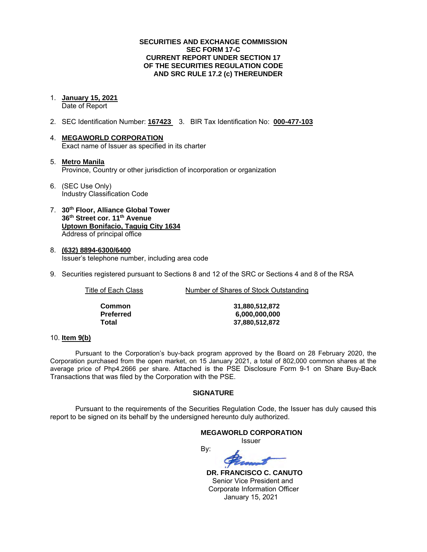### **SECURITIES AND EXCHANGE COMMISSION SEC FORM 17-C CURRENT REPORT UNDER SECTION 17 OF THE SECURITIES REGULATION CODE AND SRC RULE 17.2 (c) THEREUNDER**

- 1. **January 15, 2021** Date of Report
- 2. SEC Identification Number: **167423** 3. BIR Tax Identification No: **000-477-103**
- 4. **MEGAWORLD CORPORATION** Exact name of Issuer as specified in its charter
- 5. **Metro Manila** Province, Country or other jurisdiction of incorporation or organization
- 6. (SEC Use Only) Industry Classification Code
- 7. **30th Floor, Alliance Global Tower 36th Street cor. 11th Avenue Uptown Bonifacio, Taguig City 1634** Address of principal office
- 8. **(632) 8894-6300/6400** Issuer's telephone number, including area code
- 9. Securities registered pursuant to Sections 8 and 12 of the SRC or Sections 4 and 8 of the RSA

Title of Each Class Number of Shares of Stock Outstanding

| Common    |
|-----------|
| Preferred |
| Total     |

**Common 31,880,512,872 Preferred 6,000,000,000 Total 37,880,512,872**

### 10. **Item 9(b)**

Pursuant to the Corporation's buy-back program approved by the Board on 28 February 2020, the Corporation purchased from the open market, on 15 January 2021, a total of 802,000 common shares at the average price of Php4.2666 per share. Attached is the PSE Disclosure Form 9-1 on Share Buy-Back Transactions that was filed by the Corporation with the PSE.

### **SIGNATURE**

Pursuant to the requirements of the Securities Regulation Code, the Issuer has duly caused this report to be signed on its behalf by the undersigned hereunto duly authorized.

### **MEGAWORLD CORPORATION** Issuer

By:

 **DR. FRANCISCO C. CANUTO** Senior Vice President and Corporate Information Officer January 15, 2021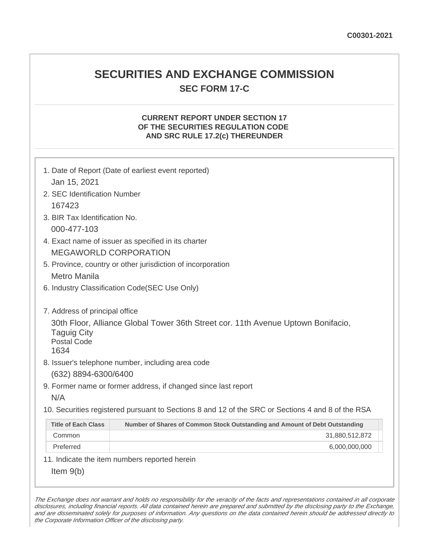# **SECURITIES AND EXCHANGE COMMISSION SEC FORM 17-C**

## **CURRENT REPORT UNDER SECTION 17 OF THE SECURITIES REGULATION CODE AND SRC RULE 17.2(c) THEREUNDER**

| 1. Date of Report (Date of earliest event reported)<br>Jan 15, 2021                                                                                                                                                                                 |                                                                             |  |  |  |  |
|-----------------------------------------------------------------------------------------------------------------------------------------------------------------------------------------------------------------------------------------------------|-----------------------------------------------------------------------------|--|--|--|--|
| 2. SEC Identification Number                                                                                                                                                                                                                        |                                                                             |  |  |  |  |
| 167423                                                                                                                                                                                                                                              |                                                                             |  |  |  |  |
|                                                                                                                                                                                                                                                     | 3. BIR Tax Identification No.                                               |  |  |  |  |
| 000-477-103                                                                                                                                                                                                                                         |                                                                             |  |  |  |  |
|                                                                                                                                                                                                                                                     | 4. Exact name of issuer as specified in its charter                         |  |  |  |  |
|                                                                                                                                                                                                                                                     | <b>MEGAWORLD CORPORATION</b>                                                |  |  |  |  |
| 5. Province, country or other jurisdiction of incorporation                                                                                                                                                                                         |                                                                             |  |  |  |  |
| <b>Metro Manila</b>                                                                                                                                                                                                                                 |                                                                             |  |  |  |  |
| 6. Industry Classification Code(SEC Use Only)                                                                                                                                                                                                       |                                                                             |  |  |  |  |
| 7. Address of principal office<br>30th Floor, Alliance Global Tower 36th Street cor. 11th Avenue Uptown Bonifacio,<br><b>Taguig City</b><br><b>Postal Code</b><br>1634<br>8. Issuer's telephone number, including area code<br>(632) 8894-6300/6400 |                                                                             |  |  |  |  |
| 9. Former name or former address, if changed since last report                                                                                                                                                                                      |                                                                             |  |  |  |  |
| N/A                                                                                                                                                                                                                                                 |                                                                             |  |  |  |  |
| 10. Securities registered pursuant to Sections 8 and 12 of the SRC or Sections 4 and 8 of the RSA                                                                                                                                                   |                                                                             |  |  |  |  |
| <b>Title of Each Class</b>                                                                                                                                                                                                                          | Number of Shares of Common Stock Outstanding and Amount of Debt Outstanding |  |  |  |  |
| Common                                                                                                                                                                                                                                              | 31,880,512,872                                                              |  |  |  |  |
| Preferred                                                                                                                                                                                                                                           | 6,000,000,000                                                               |  |  |  |  |
|                                                                                                                                                                                                                                                     | 11. Indicate the item numbers reported herein                               |  |  |  |  |
| Item $9(b)$                                                                                                                                                                                                                                         |                                                                             |  |  |  |  |

The Exchange does not warrant and holds no responsibility for the veracity of the facts and representations contained in all corporate disclosures, including financial reports. All data contained herein are prepared and submitted by the disclosing party to the Exchange, and are disseminated solely for purposes of information. Any questions on the data contained herein should be addressed directly to the Corporate Information Officer of the disclosing party.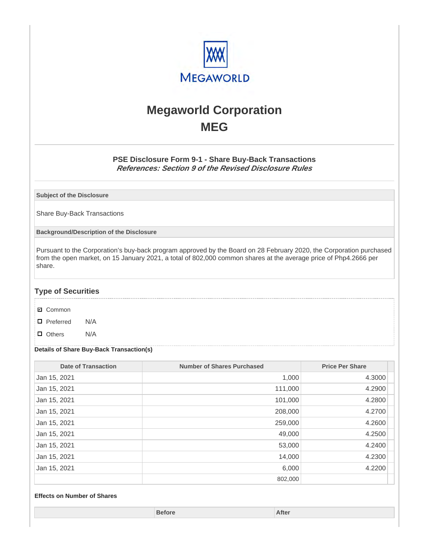

# **Megaworld Corporation MEG**

### **PSE Disclosure Form 9-1 - Share Buy-Back Transactions References: Section 9 of the Revised Disclosure Rules**

**Subject of the Disclosure**

Share Buy-Back Transactions

**Background/Description of the Disclosure**

Pursuant to the Corporation's buy-back program approved by the Board on 28 February 2020, the Corporation purchased from the open market, on 15 January 2021, a total of 802,000 common shares at the average price of Php4.2666 per share.

### **Type of Securities**

- **☑** Common
- □ Preferred N/A
- D Others N/A

### **Details of Share Buy-Back Transaction(s)**

| <b>Date of Transaction</b> | <b>Number of Shares Purchased</b> | <b>Price Per Share</b> |
|----------------------------|-----------------------------------|------------------------|
| Jan 15, 2021               | 1,000                             | 4.3000                 |
| Jan 15, 2021               | 111,000                           | 4.2900                 |
| Jan 15, 2021               | 101,000                           | 4.2800                 |
| Jan 15, 2021               | 208,000                           | 4.2700                 |
| Jan 15, 2021               | 259,000                           | 4.2600                 |
| Jan 15, 2021               | 49,000                            | 4.2500                 |
| Jan 15, 2021               | 53,000                            | 4.2400                 |
| Jan 15, 2021               | 14,000                            | 4.2300                 |
| Jan 15, 2021               | 6,000                             | 4.2200                 |
|                            | 802,000                           |                        |

#### **Effects on Number of Shares**